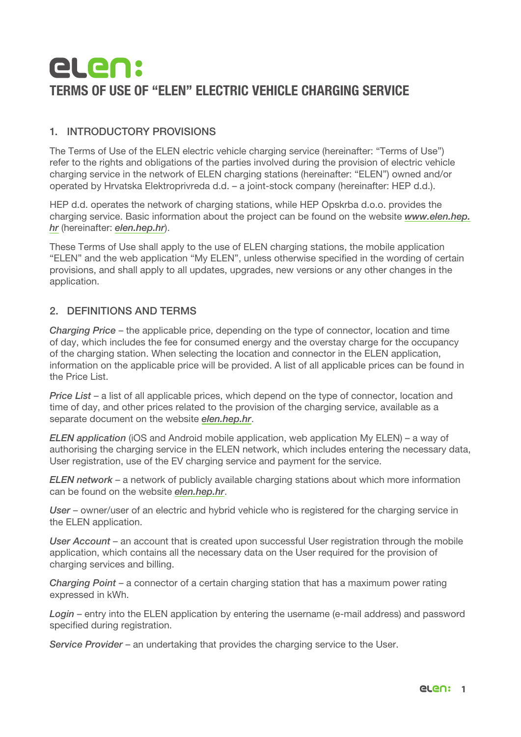# elen: TERMS OF USE OF "ELEN" ELECTRIC VEHICLE CHARGING SERVICE

# 1. INTRODUCTORY PROVISIONS

The Terms of Use of the ELEN electric vehicle charging service (hereinafter: "Terms of Use") refer to the rights and obligations of the parties involved during the provision of electric vehicle charging service in the network of ELEN charging stations (hereinafter: "ELEN") owned and/or operated by Hrvatska Elektroprivreda d.d. – a joint-stock company (hereinafter: HEP d.d.).

HEP d.d. operates the network of charging stations, while HEP Opskrba d.o.o. provides the charging service. Basic information about the project can be found on the website *www.elen.hep. hr* (hereinafter: *elen.hep.hr*).

These Terms of Use shall apply to the use of ELEN charging stations, the mobile application "ELEN" and the web application "My ELEN", unless otherwise specified in the wording of certain provisions, and shall apply to all updates, upgrades, new versions or any other changes in the application.

## 2. DEFINITIONS AND TERMS

*Charging Price* – the applicable price, depending on the type of connector, location and time of day, which includes the fee for consumed energy and the overstay charge for the occupancy of the charging station. When selecting the location and connector in the ELEN application, information on the applicable price will be provided. A list of all applicable prices can be found in the Price List.

*Price List* – a list of all applicable prices, which depend on the type of connector, location and time of day, and other prices related to the provision of the charging service, available as a separate document on the website *elen.hep.hr*.

*ELEN application* (iOS and Android mobile application, web application My ELEN) – a way of authorising the charging service in the ELEN network, which includes entering the necessary data, User registration, use of the EV charging service and payment for the service.

*ELEN network* – a network of publicly available charging stations about which more information can be found on the website *elen.hep.hr*.

*User* – owner/user of an electric and hybrid vehicle who is registered for the charging service in the ELEN application.

*User Account* – an account that is created upon successful User registration through the mobile application, which contains all the necessary data on the User required for the provision of charging services and billing.

*Charging Point* – a connector of a certain charging station that has a maximum power rating expressed in kWh.

*Login* – entry into the ELEN application by entering the username (e-mail address) and password specified during registration.

*Service Provider* – an undertaking that provides the charging service to the User.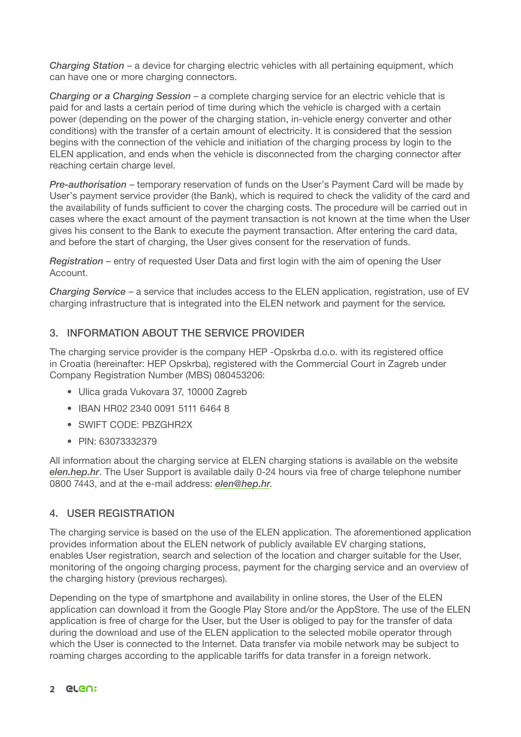*Charging Station* – a device for charging electric vehicles with all pertaining equipment, which can have one or more charging connectors.

*Charging or a Charging Session* – a complete charging service for an electric vehicle that is paid for and lasts a certain period of time during which the vehicle is charged with a certain power (depending on the power of the charging station, in-vehicle energy converter and other conditions) with the transfer of a certain amount of electricity. It is considered that the session begins with the connection of the vehicle and initiation of the charging process by login to the ELEN application, and ends when the vehicle is disconnected from the charging connector after reaching certain charge level.

*Pre-authorisation* – temporary reservation of funds on the User's Payment Card will be made by User's payment service provider (the Bank), which is required to check the validity of the card and the availability of funds sufficient to cover the charging costs. The procedure will be carried out in cases where the exact amount of the payment transaction is not known at the time when the User gives his consent to the Bank to execute the payment transaction. After entering the card data, and before the start of charging, the User gives consent for the reservation of funds.

*Registration* – entry of requested User Data and first login with the aim of opening the User Account.

*Charging Service* – a service that includes access to the ELEN application, registration, use of EV charging infrastructure that is integrated into the ELEN network and payment for the service*.*

# 3. INFORMATION ABOUT THE SERVICE PROVIDER

The charging service provider is the company HEP -Opskrba d.o.o. with its registered office in Croatia (hereinafter: HEP Opskrba), registered with the Commercial Court in Zagreb under Company Registration Number (MBS) 080453206:

- Ulica grada Vukovara 37, 10000 Zagreb
- IBAN HR02 2340 0091 5111 6464 8
- SWIFT CODE: PBZGHR2X
- PIN: 63073332379

All information about the charging service at ELEN charging stations is available on the website *elen.hep.hr*. The User Support is available daily 0-24 hours via free of charge telephone number 0800 7443, and at the e-mail address: *elen@hep.hr*.

## 4. USER REGISTRATION

The charging service is based on the use of the ELEN application. The aforementioned application provides information about the ELEN network of publicly available EV charging stations, enables User registration, search and selection of the location and charger suitable for the User, monitoring of the ongoing charging process, payment for the charging service and an overview of the charging history (previous recharges).

Depending on the type of smartphone and availability in online stores, the User of the ELEN application can download it from the Google Play Store and/or the AppStore. The use of the ELEN application is free of charge for the User, but the User is obliged to pay for the transfer of data during the download and use of the ELEN application to the selected mobile operator through which the User is connected to the Internet. Data transfer via mobile network may be subject to roaming charges according to the applicable tariffs for data transfer in a foreign network.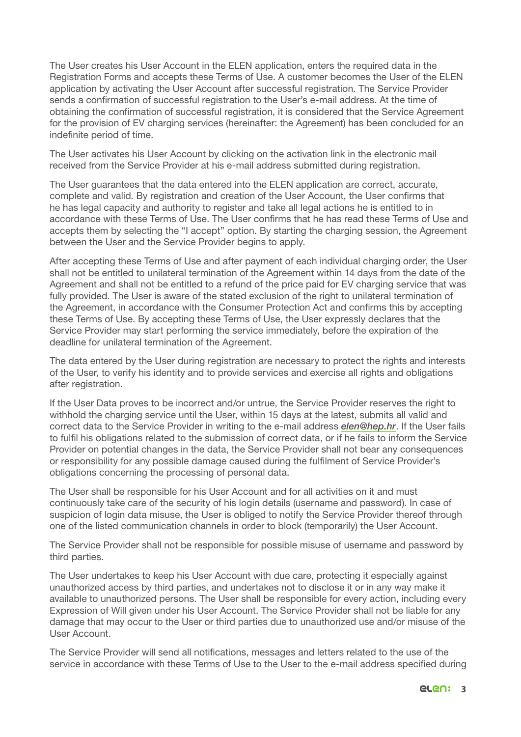The User creates his User Account in the ELEN application, enters the required data in the Registration Forms and accepts these Terms of Use. A customer becomes the User of the ELEN application by activating the User Account after successful registration. The Service Provider sends a confirmation of successful registration to the User's e-mail address. At the time of obtaining the confirmation of successful registration, it is considered that the Service Agreement for the provision of EV charging services (hereinafter: the Agreement) has been concluded for an indefinite period of time.

The User activates his User Account by clicking on the activation link in the electronic mail received from the Service Provider at his e-mail address submitted during registration.

The User guarantees that the data entered into the ELEN application are correct, accurate, complete and valid. By registration and creation of the User Account, the User confirms that he has legal capacity and authority to register and take all legal actions he is entitled to in accordance with these Terms of Use. The User confirms that he has read these Terms of Use and accepts them by selecting the "I accept" option. By starting the charging session, the Agreement between the User and the Service Provider begins to apply.

After accepting these Terms of Use and after payment of each individual charging order, the User shall not be entitled to unilateral termination of the Agreement within 14 days from the date of the Agreement and shall not be entitled to a refund of the price paid for EV charging service that was fully provided. The User is aware of the stated exclusion of the right to unilateral termination of the Agreement, in accordance with the Consumer Protection Act and confirms this by accepting these Terms of Use. By accepting these Terms of Use, the User expressly declares that the Service Provider may start performing the service immediately, before the expiration of the deadline for unilateral termination of the Agreement.

The data entered by the User during registration are necessary to protect the rights and interests of the User, to verify his identity and to provide services and exercise all rights and obligations after registration.

If the User Data proves to be incorrect and/or untrue, the Service Provider reserves the right to withhold the charging service until the User, within 15 days at the latest, submits all valid and correct data to the Service Provider in writing to the e-mail address *elen@hep.hr*. If the User fails to fulfil his obligations related to the submission of correct data, or if he fails to inform the Service Provider on potential changes in the data, the Service Provider shall not bear any consequences or responsibility for any possible damage caused during the fulfilment of Service Provider's obligations concerning the processing of personal data.

The User shall be responsible for his User Account and for all activities on it and must continuously take care of the security of his login details (username and password). In case of suspicion of login data misuse, the User is obliged to notify the Service Provider thereof through one of the listed communication channels in order to block (temporarily) the User Account.

The Service Provider shall not be responsible for possible misuse of username and password by third parties.

The User undertakes to keep his User Account with due care, protecting it especially against unauthorized access by third parties, and undertakes not to disclose it or in any way make it available to unauthorized persons. The User shall be responsible for every action, including every Expression of Will given under his User Account. The Service Provider shall not be liable for any damage that may occur to the User or third parties due to unauthorized use and/or misuse of the User Account.

The Service Provider will send all notifications, messages and letters related to the use of the service in accordance with these Terms of Use to the User to the e-mail address specified during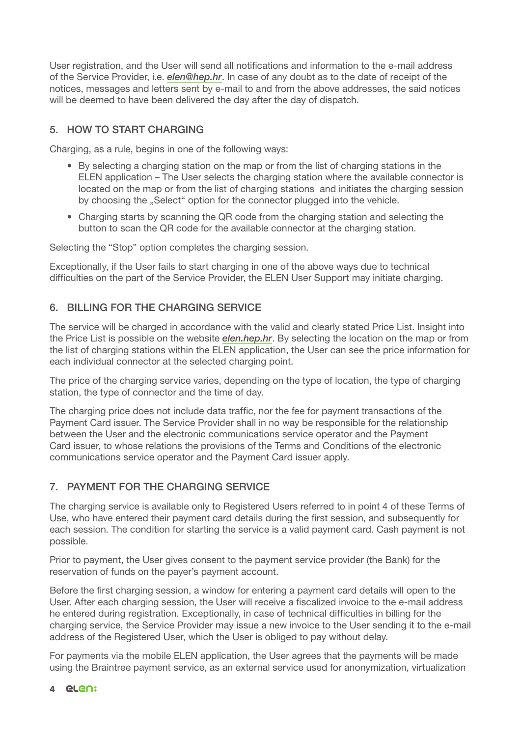User registration, and the User will send all notifications and information to the e-mail address of the Service Provider, i.e. *elen@hep.hr*. In case of any doubt as to the date of receipt of the notices, messages and letters sent by e-mail to and from the above addresses, the said notices will be deemed to have been delivered the day after the day of dispatch.

# 5. HOW TO START CHARGING

Charging, as a rule, begins in one of the following ways:

- By selecting a charging station on the map or from the list of charging stations in the ELEN application – The User selects the charging station where the available connector is located on the map or from the list of charging stations and initiates the charging session by choosing the "Select" option for the connector plugged into the vehicle.
- Charging starts by scanning the QR code from the charging station and selecting the button to scan the QR code for the available connector at the charging station.

Selecting the "Stop" option completes the charging session.

Exceptionally, if the User fails to start charging in one of the above ways due to technical difficulties on the part of the Service Provider, the ELEN User Support may initiate charging.

## 6. BILLING FOR THE CHARGING SERVICE

The service will be charged in accordance with the valid and clearly stated Price List. Insight into the Price List is possible on the website *elen.hep.hr*. By selecting the location on the map or from the list of charging stations within the ELEN application, the User can see the price information for each individual connector at the selected charging point.

The price of the charging service varies, depending on the type of location, the type of charging station, the type of connector and the time of day.

The charging price does not include data traffic, nor the fee for payment transactions of the Payment Card issuer. The Service Provider shall in no way be responsible for the relationship between the User and the electronic communications service operator and the Payment Card issuer, to whose relations the provisions of the Terms and Conditions of the electronic communications service operator and the Payment Card issuer apply.

# 7. PAYMENT FOR THE CHARGING SERVICE

The charging service is available only to Registered Users referred to in point 4 of these Terms of Use, who have entered their payment card details during the first session, and subsequently for each session. The condition for starting the service is a valid payment card. Cash payment is not possible.

Prior to payment, the User gives consent to the payment service provider (the Bank) for the reservation of funds on the payer's payment account.

Before the first charging session, a window for entering a payment card details will open to the User. After each charging session, the User will receive a fiscalized invoice to the e-mail address he entered during registration. Exceptionally, in case of technical difficulties in billing for the charging service, the Service Provider may issue a new invoice to the User sending it to the e-mail address of the Registered User, which the User is obliged to pay without delay.

For payments via the mobile ELEN application, the User agrees that the payments will be made using the Braintree payment service, as an external service used for anonymization, virtualization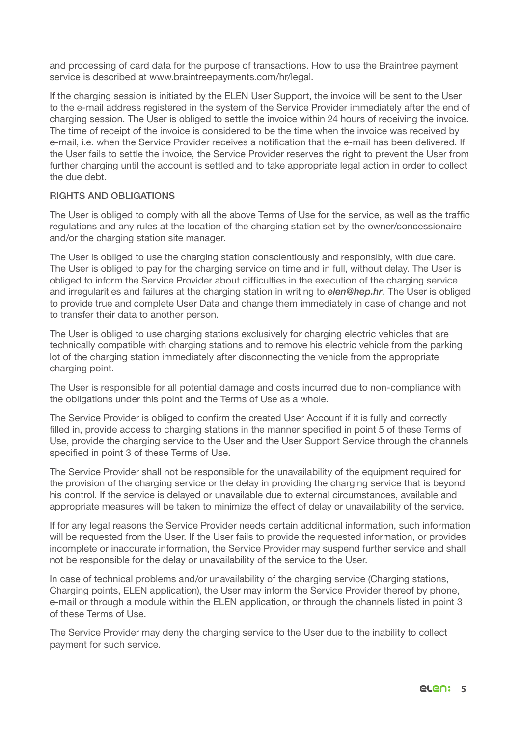and processing of card data for the purpose of transactions. How to use the Braintree payment service is described at www.braintreepayments.com/hr/legal.

If the charging session is initiated by the ELEN User Support, the invoice will be sent to the User to the e-mail address registered in the system of the Service Provider immediately after the end of charging session. The User is obliged to settle the invoice within 24 hours of receiving the invoice. The time of receipt of the invoice is considered to be the time when the invoice was received by e-mail, i.e. when the Service Provider receives a notification that the e-mail has been delivered. If the User fails to settle the invoice, the Service Provider reserves the right to prevent the User from further charging until the account is settled and to take appropriate legal action in order to collect the due debt.

## RIGHTS AND OBLIGATIONS

The User is obliged to comply with all the above Terms of Use for the service, as well as the traffic regulations and any rules at the location of the charging station set by the owner/concessionaire and/or the charging station site manager.

The User is obliged to use the charging station conscientiously and responsibly, with due care. The User is obliged to pay for the charging service on time and in full, without delay. The User is obliged to inform the Service Provider about difficulties in the execution of the charging service and irregularities and failures at the charging station in writing to *elen@hep.hr*. The User is obliged to provide true and complete User Data and change them immediately in case of change and not to transfer their data to another person.

The User is obliged to use charging stations exclusively for charging electric vehicles that are technically compatible with charging stations and to remove his electric vehicle from the parking lot of the charging station immediately after disconnecting the vehicle from the appropriate charging point.

The User is responsible for all potential damage and costs incurred due to non-compliance with the obligations under this point and the Terms of Use as a whole.

The Service Provider is obliged to confirm the created User Account if it is fully and correctly filled in, provide access to charging stations in the manner specified in point 5 of these Terms of Use, provide the charging service to the User and the User Support Service through the channels specified in point 3 of these Terms of Use.

The Service Provider shall not be responsible for the unavailability of the equipment required for the provision of the charging service or the delay in providing the charging service that is beyond his control. If the service is delayed or unavailable due to external circumstances, available and appropriate measures will be taken to minimize the effect of delay or unavailability of the service.

If for any legal reasons the Service Provider needs certain additional information, such information will be requested from the User. If the User fails to provide the requested information, or provides incomplete or inaccurate information, the Service Provider may suspend further service and shall not be responsible for the delay or unavailability of the service to the User.

In case of technical problems and/or unavailability of the charging service (Charging stations, Charging points, ELEN application), the User may inform the Service Provider thereof by phone, e-mail or through a module within the ELEN application, or through the channels listed in point 3 of these Terms of Use.

The Service Provider may deny the charging service to the User due to the inability to collect payment for such service.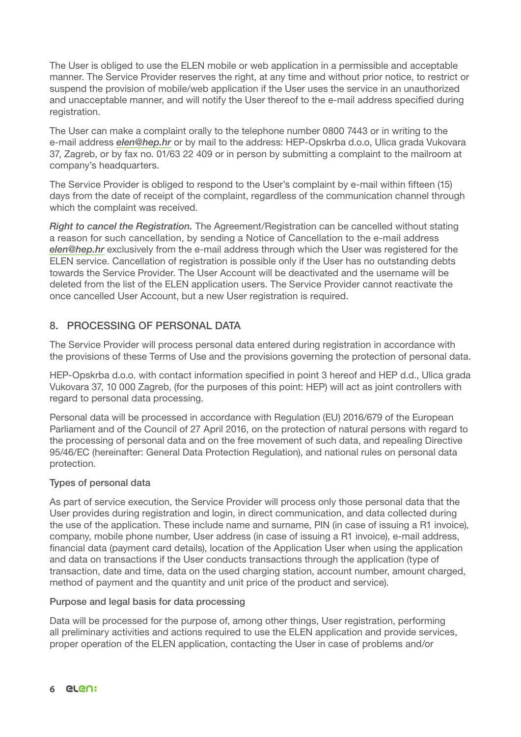The User is obliged to use the ELEN mobile or web application in a permissible and acceptable manner. The Service Provider reserves the right, at any time and without prior notice, to restrict or suspend the provision of mobile/web application if the User uses the service in an unauthorized and unacceptable manner, and will notify the User thereof to the e-mail address specified during registration.

The User can make a complaint orally to the telephone number 0800 7443 or in writing to the e-mail address *elen@hep.hr* or by mail to the address: HEP-Opskrba d.o.o, Ulica grada Vukovara 37, Zagreb, or by fax no. 01/63 22 409 or in person by submitting a complaint to the mailroom at company's headquarters.

The Service Provider is obliged to respond to the User's complaint by e-mail within fifteen (15) days from the date of receipt of the complaint, regardless of the communication channel through which the complaint was received.

*Right to cancel the Registration.* The Agreement/Registration can be cancelled without stating a reason for such cancellation, by sending a Notice of Cancellation to the e-mail address *elen@hep.hr* exclusively from the e-mail address through which the User was registered for the ELEN service. Cancellation of registration is possible only if the User has no outstanding debts towards the Service Provider. The User Account will be deactivated and the username will be deleted from the list of the ELEN application users. The Service Provider cannot reactivate the once cancelled User Account, but a new User registration is required.

## 8. PROCESSING OF PERSONAL DATA

The Service Provider will process personal data entered during registration in accordance with the provisions of these Terms of Use and the provisions governing the protection of personal data.

HEP-Opskrba d.o.o. with contact information specified in point 3 hereof and HEP d.d., Ulica grada Vukovara 37, 10 000 Zagreb, (for the purposes of this point: HEP) will act as joint controllers with regard to personal data processing.

Personal data will be processed in accordance with Regulation (EU) 2016/679 of the European Parliament and of the Council of 27 April 2016, on the protection of natural persons with regard to the processing of personal data and on the free movement of such data, and repealing Directive 95/46/EC (hereinafter: General Data Protection Regulation), and national rules on personal data protection.

## Types of personal data

As part of service execution, the Service Provider will process only those personal data that the User provides during registration and login, in direct communication, and data collected during the use of the application. These include name and surname, PIN (in case of issuing a R1 invoice), company, mobile phone number, User address (in case of issuing a R1 invoice), e-mail address, financial data (payment card details), location of the Application User when using the application and data on transactions if the User conducts transactions through the application (type of transaction, date and time, data on the used charging station, account number, amount charged, method of payment and the quantity and unit price of the product and service).

### Purpose and legal basis for data processing

Data will be processed for the purpose of, among other things, User registration, performing all preliminary activities and actions required to use the ELEN application and provide services, proper operation of the ELEN application, contacting the User in case of problems and/or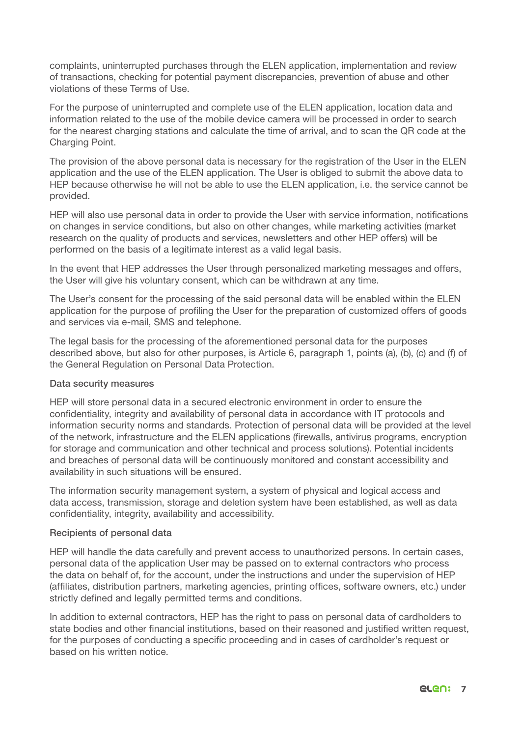complaints, uninterrupted purchases through the ELEN application, implementation and review of transactions, checking for potential payment discrepancies, prevention of abuse and other violations of these Terms of Use.

For the purpose of uninterrupted and complete use of the ELEN application, location data and information related to the use of the mobile device camera will be processed in order to search for the nearest charging stations and calculate the time of arrival, and to scan the QR code at the Charging Point.

The provision of the above personal data is necessary for the registration of the User in the ELEN application and the use of the ELEN application. The User is obliged to submit the above data to HEP because otherwise he will not be able to use the ELEN application, i.e. the service cannot be provided.

HEP will also use personal data in order to provide the User with service information, notifications on changes in service conditions, but also on other changes, while marketing activities (market research on the quality of products and services, newsletters and other HEP offers) will be performed on the basis of a legitimate interest as a valid legal basis.

In the event that HEP addresses the User through personalized marketing messages and offers, the User will give his voluntary consent, which can be withdrawn at any time.

The User's consent for the processing of the said personal data will be enabled within the ELEN application for the purpose of profiling the User for the preparation of customized offers of goods and services via e-mail, SMS and telephone.

The legal basis for the processing of the aforementioned personal data for the purposes described above, but also for other purposes, is Article 6, paragraph 1, points (a), (b), (c) and (f) of the General Regulation on Personal Data Protection.

#### Data security measures

HEP will store personal data in a secured electronic environment in order to ensure the confidentiality, integrity and availability of personal data in accordance with IT protocols and information security norms and standards. Protection of personal data will be provided at the level of the network, infrastructure and the ELEN applications (firewalls, antivirus programs, encryption for storage and communication and other technical and process solutions). Potential incidents and breaches of personal data will be continuously monitored and constant accessibility and availability in such situations will be ensured.

The information security management system, a system of physical and logical access and data access, transmission, storage and deletion system have been established, as well as data confidentiality, integrity, availability and accessibility.

#### Recipients of personal data

HEP will handle the data carefully and prevent access to unauthorized persons. In certain cases, personal data of the application User may be passed on to external contractors who process the data on behalf of, for the account, under the instructions and under the supervision of HEP (affiliates, distribution partners, marketing agencies, printing offices, software owners, etc.) under strictly defined and legally permitted terms and conditions.

In addition to external contractors, HEP has the right to pass on personal data of cardholders to state bodies and other financial institutions, based on their reasoned and justified written request, for the purposes of conducting a specific proceeding and in cases of cardholder's request or based on his written notice.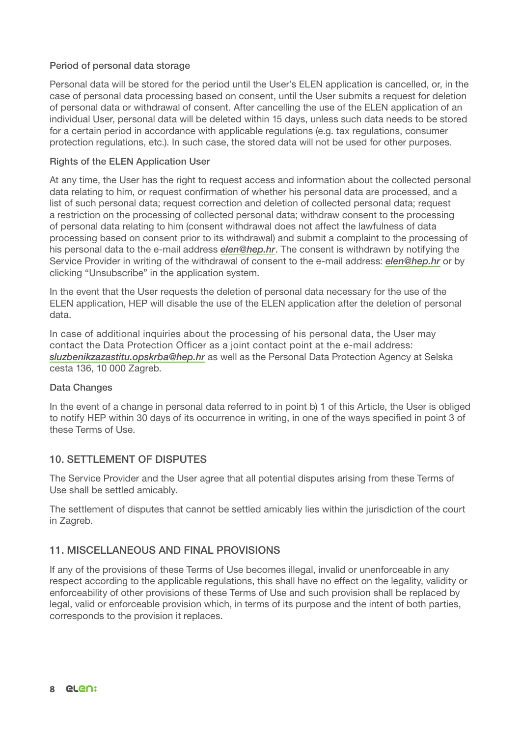### Period of personal data storage

Personal data will be stored for the period until the User's ELEN application is cancelled, or, in the case of personal data processing based on consent, until the User submits a request for deletion of personal data or withdrawal of consent. After cancelling the use of the ELEN application of an individual User, personal data will be deleted within 15 days, unless such data needs to be stored for a certain period in accordance with applicable regulations (e.g. tax regulations, consumer protection regulations, etc.). In such case, the stored data will not be used for other purposes.

#### Rights of the ELEN Application User

At any time, the User has the right to request access and information about the collected personal data relating to him, or request confirmation of whether his personal data are processed, and a list of such personal data; request correction and deletion of collected personal data; request a restriction on the processing of collected personal data; withdraw consent to the processing of personal data relating to him (consent withdrawal does not affect the lawfulness of data processing based on consent prior to its withdrawal) and submit a complaint to the processing of his personal data to the e-mail address *elen@hep.hr*. The consent is withdrawn by notifying the Service Provider in writing of the withdrawal of consent to the e-mail address: *elen@hep.hr* or by clicking "Unsubscribe" in the application system.

In the event that the User requests the deletion of personal data necessary for the use of the ELEN application, HEP will disable the use of the ELEN application after the deletion of personal data.

In case of additional inquiries about the processing of his personal data, the User mav contact the Data Protection Officer as a joint contact point at the e-mail address: *sluzbenikzazastitu.opskrba@hep.hr* as well as the Personal Data Protection Agency at Selska cesta 136, 10 000 Zagreb.

#### Data Changes

In the event of a change in personal data referred to in point b) 1 of this Article, the User is obliged to notify HEP within 30 days of its occurrence in writing, in one of the ways specified in point 3 of these Terms of Use.

## 10. SETTI EMENT OF DISPUTES

The Service Provider and the User agree that all potential disputes arising from these Terms of Use shall be settled amicably.

The settlement of disputes that cannot be settled amicably lies within the jurisdiction of the court in Zagreb.

### 11. MISCELLANEOUS AND FINAL PROVISIONS

If any of the provisions of these Terms of Use becomes illegal, invalid or unenforceable in any respect according to the applicable regulations, this shall have no effect on the legality, validity or enforceability of other provisions of these Terms of Use and such provision shall be replaced by legal, valid or enforceable provision which, in terms of its purpose and the intent of both parties, corresponds to the provision it replaces.